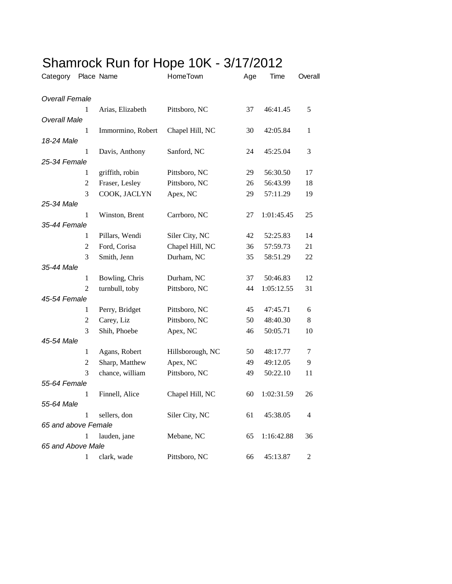| Category              |                | Place Name        | HomeTown         | Age | Time       | Overall      |
|-----------------------|----------------|-------------------|------------------|-----|------------|--------------|
| <b>Overall Female</b> |                |                   |                  |     |            |              |
|                       | $\mathbf{1}$   | Arias, Elizabeth  | Pittsboro, NC    | 37  | 46:41.45   | 5            |
| <b>Overall Male</b>   |                |                   |                  |     |            |              |
|                       | 1              | Immormino, Robert | Chapel Hill, NC  | 30  | 42:05.84   | $\mathbf{1}$ |
| 18-24 Male            |                |                   |                  |     |            |              |
|                       | 1              | Davis, Anthony    | Sanford, NC      | 24  | 45:25.04   | 3            |
| 25-34 Female          |                |                   |                  |     |            |              |
|                       | 1              | griffith, robin   | Pittsboro, NC    | 29  | 56:30.50   | 17           |
|                       | $\overline{2}$ | Fraser, Lesley    | Pittsboro, NC    | 26  | 56:43.99   | 18           |
|                       | 3              | COOK, JACLYN      | Apex, NC         | 29  | 57:11.29   | 19           |
| 25-34 Male            |                |                   |                  |     |            |              |
|                       | 1              | Winston, Brent    | Carrboro, NC     | 27  | 1:01:45.45 | 25           |
| 35-44 Female          |                |                   |                  |     |            |              |
|                       | 1              | Pillars, Wendi    | Siler City, NC   | 42  | 52:25.83   | 14           |
|                       | 2              | Ford, Corisa      | Chapel Hill, NC  | 36  | 57:59.73   | 21           |
|                       | 3              | Smith, Jenn       | Durham, NC       | 35  | 58:51.29   | 22           |
| 35-44 Male            |                |                   |                  |     |            |              |
|                       | $\mathbf{1}$   | Bowling, Chris    | Durham, NC       | 37  | 50:46.83   | 12           |
|                       | $\overline{2}$ | turnbull, toby    | Pittsboro, NC    | 44  | 1:05:12.55 | 31           |
| 45-54 Female          |                |                   |                  |     |            |              |
|                       | 1              | Perry, Bridget    | Pittsboro, NC    | 45  | 47:45.71   | 6            |
|                       | $\overline{2}$ | Carey, Liz        | Pittsboro, NC    | 50  | 48:40.30   | 8            |
|                       | 3              | Shih, Phoebe      | Apex, NC         | 46  | 50:05.71   | 10           |
| 45-54 Male            |                |                   |                  |     |            |              |
|                       | $\mathbf{1}$   | Agans, Robert     | Hillsborough, NC | 50  | 48:17.77   | 7            |
|                       | $\overline{c}$ | Sharp, Matthew    | Apex, NC         | 49  | 49:12.05   | 9            |
|                       | 3              | chance, william   | Pittsboro, NC    | 49  | 50:22.10   | 11           |
| 55-64 Female          |                |                   |                  |     |            |              |
|                       | 1              | Finnell, Alice    | Chapel Hill, NC  | 60  | 1:02:31.59 | 26           |
| 55-64 Male            |                |                   |                  |     |            |              |
|                       | 1              | sellers, don      | Siler City, NC   | 61  | 45:38.05   | 4            |
| 65 and above Female   |                |                   |                  |     |            |              |
|                       | 1              | lauden, jane      | Mebane, NC       | 65  | 1:16:42.88 | 36           |
| 65 and Above Male     |                |                   |                  |     |            |              |
|                       | 1              | clark, wade       | Pittsboro, NC    | 66  | 45:13.87   | 2            |
|                       |                |                   |                  |     |            |              |

## Shamrock Run for Hope 10K - 3/17/2012